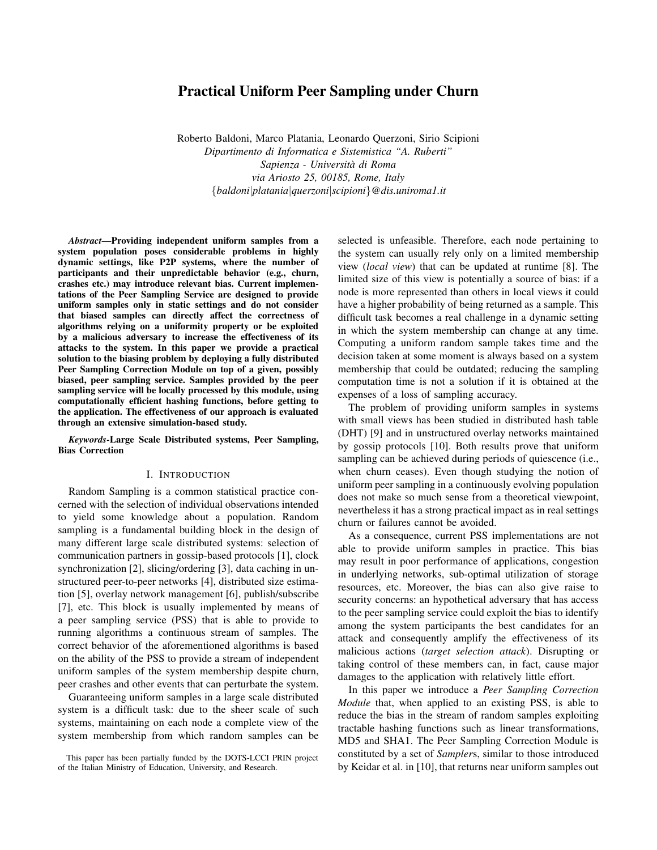# **Practical Uniform Peer Sampling under Churn**

Roberto Baldoni, Marco Platania, Leonardo Querzoni, Sirio Scipioni *Dipartimento di Informatica e Sistemistica "A. Ruberti" Sapienza - Universita di Roma ` via Ariosto 25, 00185, Rome, Italy* {*baldoni*|*platania*|*querzoni*|*scipioni*}*@dis.uniroma1.it*

*Abstract***—Providing independent uniform samples from a system population poses considerable problems in highly dynamic settings, like P2P systems, where the number of participants and their unpredictable behavior (e.g., churn, crashes etc.) may introduce relevant bias. Current implementations of the Peer Sampling Service are designed to provide uniform samples only in static settings and do not consider that biased samples can directly affect the correctness of algorithms relying on a uniformity property or be exploited by a malicious adversary to increase the effectiveness of its attacks to the system. In this paper we provide a practical solution to the biasing problem by deploying a fully distributed Peer Sampling Correction Module on top of a given, possibly biased, peer sampling service. Samples provided by the peer sampling service will be locally processed by this module, using computationally efficient hashing functions, before getting to the application. The effectiveness of our approach is evaluated through an extensive simulation-based study.**

#### *Keywords***-Large Scale Distributed systems, Peer Sampling, Bias Correction**

#### I. INTRODUCTION

Random Sampling is a common statistical practice concerned with the selection of individual observations intended to yield some knowledge about a population. Random sampling is a fundamental building block in the design of many different large scale distributed systems: selection of communication partners in gossip-based protocols [1], clock synchronization [2], slicing/ordering [3], data caching in unstructured peer-to-peer networks [4], distributed size estimation [5], overlay network management [6], publish/subscribe [7], etc. This block is usually implemented by means of a peer sampling service (PSS) that is able to provide to running algorithms a continuous stream of samples. The correct behavior of the aforementioned algorithms is based on the ability of the PSS to provide a stream of independent uniform samples of the system membership despite churn, peer crashes and other events that can perturbate the system.

Guaranteeing uniform samples in a large scale distributed system is a difficult task: due to the sheer scale of such systems, maintaining on each node a complete view of the system membership from which random samples can be selected is unfeasible. Therefore, each node pertaining to the system can usually rely only on a limited membership view (*local view*) that can be updated at runtime [8]. The limited size of this view is potentially a source of bias: if a node is more represented than others in local views it could have a higher probability of being returned as a sample. This difficult task becomes a real challenge in a dynamic setting in which the system membership can change at any time. Computing a uniform random sample takes time and the decision taken at some moment is always based on a system membership that could be outdated; reducing the sampling computation time is not a solution if it is obtained at the expenses of a loss of sampling accuracy.

The problem of providing uniform samples in systems with small views has been studied in distributed hash table (DHT) [9] and in unstructured overlay networks maintained by gossip protocols [10]. Both results prove that uniform sampling can be achieved during periods of quiescence (i.e., when churn ceases). Even though studying the notion of uniform peer sampling in a continuously evolving population does not make so much sense from a theoretical viewpoint, nevertheless it has a strong practical impact as in real settings churn or failures cannot be avoided.

As a consequence, current PSS implementations are not able to provide uniform samples in practice. This bias may result in poor performance of applications, congestion in underlying networks, sub-optimal utilization of storage resources, etc. Moreover, the bias can also give raise to security concerns: an hypothetical adversary that has access to the peer sampling service could exploit the bias to identify among the system participants the best candidates for an attack and consequently amplify the effectiveness of its malicious actions (*target selection attack*). Disrupting or taking control of these members can, in fact, cause major damages to the application with relatively little effort.

In this paper we introduce a *Peer Sampling Correction Module* that, when applied to an existing PSS, is able to reduce the bias in the stream of random samples exploiting tractable hashing functions such as linear transformations, MD5 and SHA1. The Peer Sampling Correction Module is constituted by a set of *Sampler*s, similar to those introduced by Keidar et al. in [10], that returns near uniform samples out

This paper has been partially funded by the DOTS-LCCI PRIN project of the Italian Ministry of Education, University, and Research.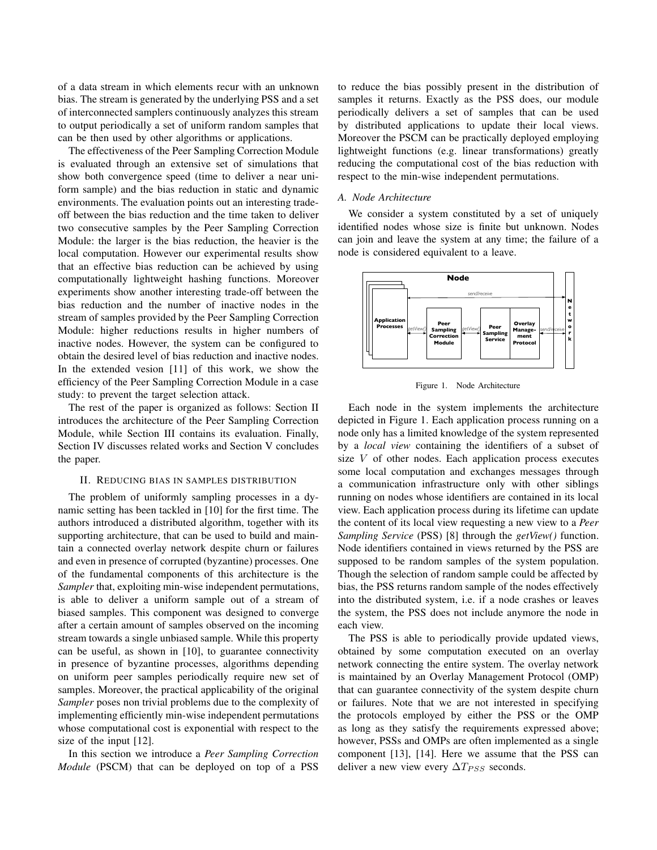of a data stream in which elements recur with an unknown bias. The stream is generated by the underlying PSS and a set of interconnected samplers continuously analyzes this stream to output periodically a set of uniform random samples that can be then used by other algorithms or applications.

The effectiveness of the Peer Sampling Correction Module is evaluated through an extensive set of simulations that show both convergence speed (time to deliver a near uniform sample) and the bias reduction in static and dynamic environments. The evaluation points out an interesting tradeoff between the bias reduction and the time taken to deliver two consecutive samples by the Peer Sampling Correction Module: the larger is the bias reduction, the heavier is the local computation. However our experimental results show that an effective bias reduction can be achieved by using computationally lightweight hashing functions. Moreover experiments show another interesting trade-off between the bias reduction and the number of inactive nodes in the stream of samples provided by the Peer Sampling Correction Module: higher reductions results in higher numbers of inactive nodes. However, the system can be configured to obtain the desired level of bias reduction and inactive nodes. In the extended vesion [11] of this work, we show the efficiency of the Peer Sampling Correction Module in a case study: to prevent the target selection attack.

The rest of the paper is organized as follows: Section II introduces the architecture of the Peer Sampling Correction Module, while Section III contains its evaluation. Finally, Section IV discusses related works and Section V concludes the paper.

#### II. REDUCING BIAS IN SAMPLES DISTRIBUTION

The problem of uniformly sampling processes in a dynamic setting has been tackled in [10] for the first time. The authors introduced a distributed algorithm, together with its supporting architecture, that can be used to build and maintain a connected overlay network despite churn or failures and even in presence of corrupted (byzantine) processes. One of the fundamental components of this architecture is the *Sampler* that, exploiting min-wise independent permutations, is able to deliver a uniform sample out of a stream of biased samples. This component was designed to converge after a certain amount of samples observed on the incoming stream towards a single unbiased sample. While this property can be useful, as shown in [10], to guarantee connectivity in presence of byzantine processes, algorithms depending on uniform peer samples periodically require new set of samples. Moreover, the practical applicability of the original *Sampler* poses non trivial problems due to the complexity of implementing efficiently min-wise independent permutations whose computational cost is exponential with respect to the size of the input [12].

In this section we introduce a *Peer Sampling Correction Module* (PSCM) that can be deployed on top of a PSS to reduce the bias possibly present in the distribution of samples it returns. Exactly as the PSS does, our module periodically delivers a set of samples that can be used by distributed applications to update their local views. Moreover the PSCM can be practically deployed employing lightweight functions (e.g. linear transformations) greatly reducing the computational cost of the bias reduction with respect to the min-wise independent permutations.

#### *A. Node Architecture*

We consider a system constituted by a set of uniquely identified nodes whose size is finite but unknown. Nodes can join and leave the system at any time; the failure of a node is considered equivalent to a leave.



Figure 1. Node Architecture

Each node in the system implements the architecture depicted in Figure 1. Each application process running on a node only has a limited knowledge of the system represented by a *local view* containing the identifiers of a subset of size  $V$  of other nodes. Each application process executes some local computation and exchanges messages through a communication infrastructure only with other siblings running on nodes whose identifiers are contained in its local view. Each application process during its lifetime can update the content of its local view requesting a new view to a *Peer Sampling Service* (PSS) [8] through the *getView()* function. Node identifiers contained in views returned by the PSS are supposed to be random samples of the system population. Though the selection of random sample could be affected by bias, the PSS returns random sample of the nodes effectively into the distributed system, i.e. if a node crashes or leaves the system, the PSS does not include anymore the node in each view.

The PSS is able to periodically provide updated views, obtained by some computation executed on an overlay network connecting the entire system. The overlay network is maintained by an Overlay Management Protocol (OMP) that can guarantee connectivity of the system despite churn or failures. Note that we are not interested in specifying the protocols employed by either the PSS or the OMP as long as they satisfy the requirements expressed above; however, PSSs and OMPs are often implemented as a single component [13], [14]. Here we assume that the PSS can deliver a new view every  $\Delta T_{PSS}$  seconds.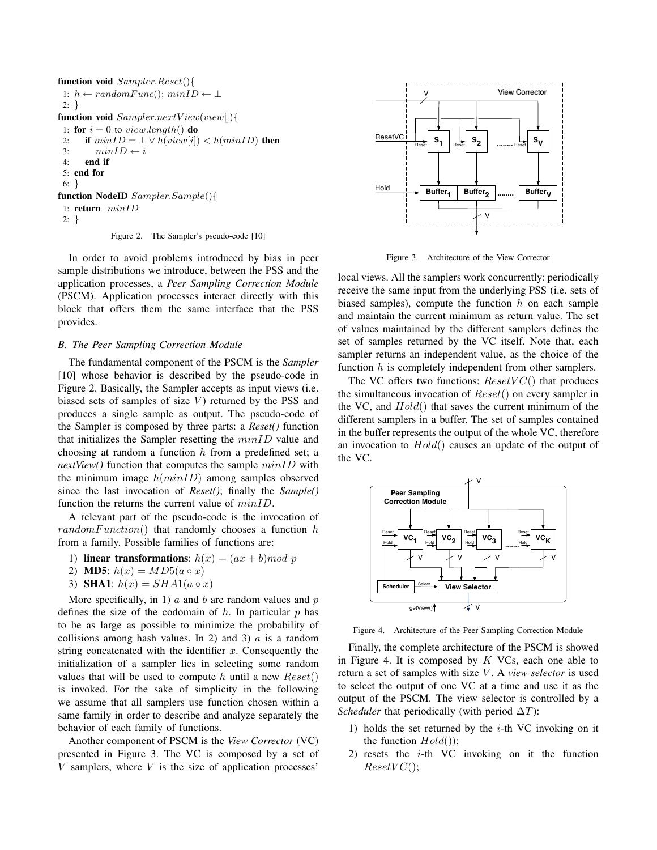```
function void Sampler.Reset(){
 1: h \leftarrow randomFunc(); minID \leftarrow \perp2: }
function void Sampler.nextV iew(view[]){
 1: for i = 0 to view.length() do
 2: if minID = \perp \vee h(view[i]) < h(minID) then
 3: minID \leftarrow i4: end if
 5: end for
 6: }
function NodeID Sampler.Sample(){
 1: return minID
2: }
            Figure 2. The Sampler's pseudo-code [10]
```
In order to avoid problems introduced by bias in peer sample distributions we introduce, between the PSS and the application processes, a *Peer Sampling Correction Module* (PSCM). Application processes interact directly with this block that offers them the same interface that the PSS provides.

#### *B. The Peer Sampling Correction Module*

The fundamental component of the PSCM is the *Sampler* [10] whose behavior is described by the pseudo-code in Figure 2. Basically, the Sampler accepts as input views (i.e. biased sets of samples of size  $V$ ) returned by the PSS and produces a single sample as output. The pseudo-code of the Sampler is composed by three parts: a *Reset()* function that initializes the Sampler resetting the  $minID$  value and choosing at random a function  $h$  from a predefined set; a  $nextView()$  function that computes the sample  $minID$  with the minimum image  $h(minID)$  among samples observed since the last invocation of *Reset()*; finally the *Sample()* function the returns the current value of  $minID$ .

A relevant part of the pseudo-code is the invocation of  $randomFunction()$  that randomly chooses a function h from a family. Possible families of functions are:

- 1) **linear transformations**:  $h(x) = (ax + b) \mod p$
- 2) **MD5**:  $h(x) = MD5(a \circ x)$
- 3) **SHA1**:  $h(x) = SHA1(a \circ x)$

More specifically, in 1)  $\alpha$  and  $\beta$  are random values and  $p$ defines the size of the codomain of  $h$ . In particular  $p$  has to be as large as possible to minimize the probability of collisions among hash values. In 2) and 3)  $a$  is a random string concatenated with the identifier  $x$ . Consequently the initialization of a sampler lies in selecting some random values that will be used to compute h until a new  $Reset()$ is invoked. For the sake of simplicity in the following we assume that all samplers use function chosen within a same family in order to describe and analyze separately the behavior of each family of functions.

Another component of PSCM is the *View Corrector* (VC) presented in Figure 3. The VC is composed by a set of  $V$  samplers, where  $V$  is the size of application processes'



Figure 3. Architecture of the View Corrector

local views. All the samplers work concurrently: periodically receive the same input from the underlying PSS (i.e. sets of biased samples), compute the function  $h$  on each sample and maintain the current minimum as return value. The set of values maintained by the different samplers defines the set of samples returned by the VC itself. Note that, each sampler returns an independent value, as the choice of the function h is completely independent from other samplers.

The VC offers two functions:  $ResetVC()$  that produces the simultaneous invocation of  $Reset()$  on every sampler in the VC, and  $Hold()$  that saves the current minimum of the different samplers in a buffer. The set of samples contained in the buffer represents the output of the whole VC, therefore an invocation to  $Hold()$  causes an update of the output of the VC.



Figure 4. Architecture of the Peer Sampling Correction Module

Finally, the complete architecture of the PSCM is showed in Figure 4. It is composed by  $K$  VCs, each one able to return a set of samples with size V . A *view selector* is used to select the output of one VC at a time and use it as the output of the PSCM. The view selector is controlled by a *Scheduler* that periodically (with period  $\Delta T$ ):

- 1) holds the set returned by the  $i$ -th VC invoking on it the function  $Hold()$ ;
- 2) resets the  $i$ -th VC invoking on it the function  $ResetVC();$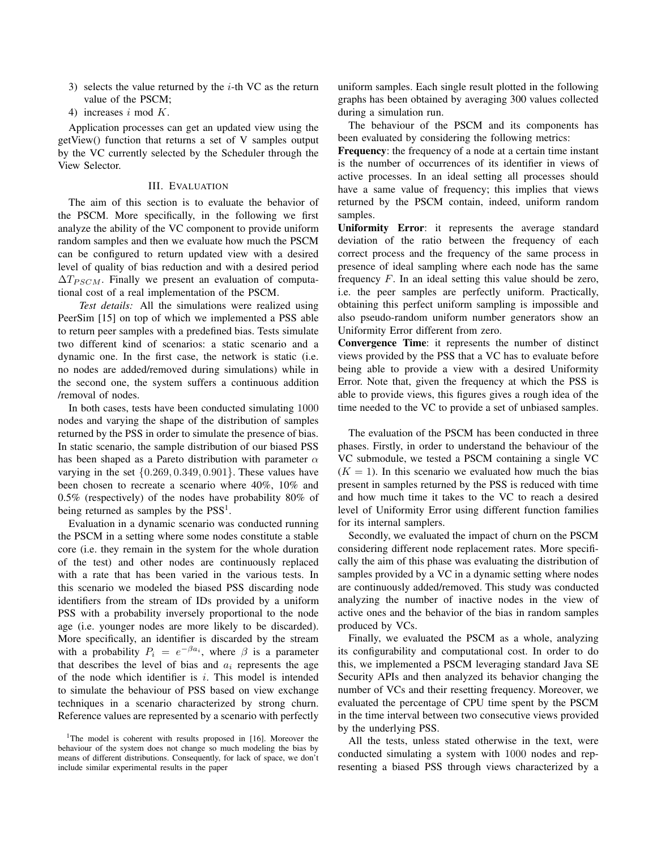- 3) selects the value returned by the  $i$ -th VC as the return value of the PSCM;
- 4) increases i mod K.

Application processes can get an updated view using the getView() function that returns a set of V samples output by the VC currently selected by the Scheduler through the View Selector.

#### III. EVALUATION

The aim of this section is to evaluate the behavior of the PSCM. More specifically, in the following we first analyze the ability of the VC component to provide uniform random samples and then we evaluate how much the PSCM can be configured to return updated view with a desired level of quality of bias reduction and with a desired period  $\Delta T_{PSCM}$ . Finally we present an evaluation of computational cost of a real implementation of the PSCM.

*Test details:* All the simulations were realized using PeerSim [15] on top of which we implemented a PSS able to return peer samples with a predefined bias. Tests simulate two different kind of scenarios: a static scenario and a dynamic one. In the first case, the network is static (i.e. no nodes are added/removed during simulations) while in the second one, the system suffers a continuous addition /removal of nodes.

In both cases, tests have been conducted simulating 1000 nodes and varying the shape of the distribution of samples returned by the PSS in order to simulate the presence of bias. In static scenario, the sample distribution of our biased PSS has been shaped as a Pareto distribution with parameter  $\alpha$ varying in the set  $\{0.269, 0.349, 0.901\}$ . These values have been chosen to recreate a scenario where 40%, 10% and 0.5% (respectively) of the nodes have probability 80% of being returned as samples by the  $PSS<sup>1</sup>$ .

Evaluation in a dynamic scenario was conducted running the PSCM in a setting where some nodes constitute a stable core (i.e. they remain in the system for the whole duration of the test) and other nodes are continuously replaced with a rate that has been varied in the various tests. In this scenario we modeled the biased PSS discarding node identifiers from the stream of IDs provided by a uniform PSS with a probability inversely proportional to the node age (i.e. younger nodes are more likely to be discarded). More specifically, an identifier is discarded by the stream with a probability  $P_i = e^{-\beta a_i}$ , where  $\beta$  is a parameter that describes the level of bias and  $a_i$  represents the age of the node which identifier is  $i$ . This model is intended to simulate the behaviour of PSS based on view exchange techniques in a scenario characterized by strong churn. Reference values are represented by a scenario with perfectly uniform samples. Each single result plotted in the following graphs has been obtained by averaging 300 values collected during a simulation run.

The behaviour of the PSCM and its components has been evaluated by considering the following metrics:

**Frequency**: the frequency of a node at a certain time instant is the number of occurrences of its identifier in views of active processes. In an ideal setting all processes should have a same value of frequency; this implies that views returned by the PSCM contain, indeed, uniform random samples.

**Uniformity Error**: it represents the average standard deviation of the ratio between the frequency of each correct process and the frequency of the same process in presence of ideal sampling where each node has the same frequency F. In an ideal setting this value should be zero, i.e. the peer samples are perfectly uniform. Practically, obtaining this perfect uniform sampling is impossible and also pseudo-random uniform number generators show an Uniformity Error different from zero.

**Convergence Time**: it represents the number of distinct views provided by the PSS that a VC has to evaluate before being able to provide a view with a desired Uniformity Error. Note that, given the frequency at which the PSS is able to provide views, this figures gives a rough idea of the time needed to the VC to provide a set of unbiased samples.

The evaluation of the PSCM has been conducted in three phases. Firstly, in order to understand the behaviour of the VC submodule, we tested a PSCM containing a single VC  $(K = 1)$ . In this scenario we evaluated how much the bias present in samples returned by the PSS is reduced with time and how much time it takes to the VC to reach a desired level of Uniformity Error using different function families for its internal samplers.

Secondly, we evaluated the impact of churn on the PSCM considering different node replacement rates. More specifically the aim of this phase was evaluating the distribution of samples provided by a VC in a dynamic setting where nodes are continuously added/removed. This study was conducted analyzing the number of inactive nodes in the view of active ones and the behavior of the bias in random samples produced by VCs.

Finally, we evaluated the PSCM as a whole, analyzing its configurability and computational cost. In order to do this, we implemented a PSCM leveraging standard Java SE Security APIs and then analyzed its behavior changing the number of VCs and their resetting frequency. Moreover, we evaluated the percentage of CPU time spent by the PSCM in the time interval between two consecutive views provided by the underlying PSS.

All the tests, unless stated otherwise in the text, were conducted simulating a system with 1000 nodes and representing a biased PSS through views characterized by a

<sup>&</sup>lt;sup>1</sup>The model is coherent with results proposed in [16]. Moreover the behaviour of the system does not change so much modeling the bias by means of different distributions. Consequently, for lack of space, we don't include similar experimental results in the paper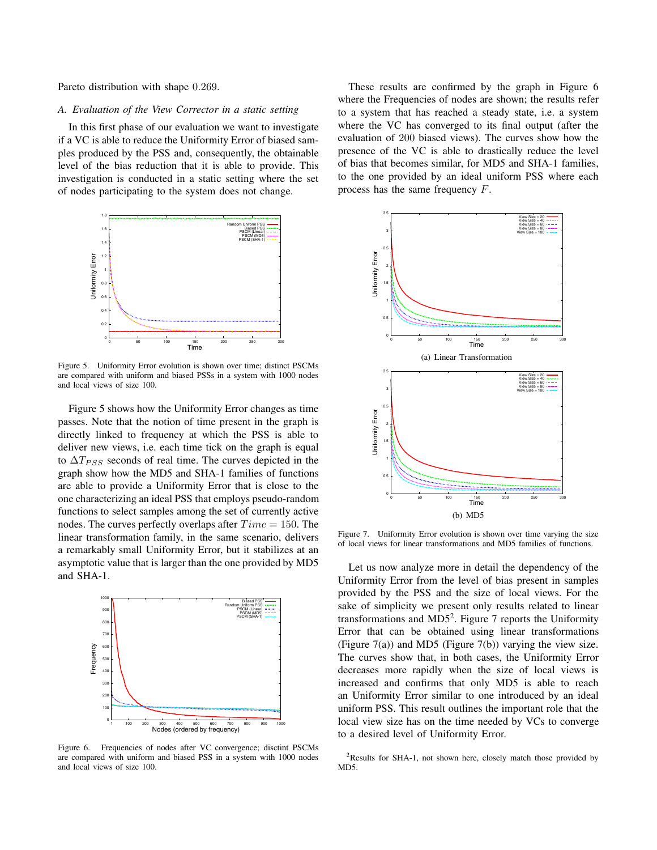Pareto distribution with shape 0.269.

#### *A. Evaluation of the View Corrector in a static setting*

In this first phase of our evaluation we want to investigate if a VC is able to reduce the Uniformity Error of biased samples produced by the PSS and, consequently, the obtainable level of the bias reduction that it is able to provide. This investigation is conducted in a static setting where the set of nodes participating to the system does not change.



Figure 5. Uniformity Error evolution is shown over time; distinct PSCMs are compared with uniform and biased PSSs in a system with 1000 nodes and local views of size 100.

Figure 5 shows how the Uniformity Error changes as time passes. Note that the notion of time present in the graph is directly linked to frequency at which the PSS is able to deliver new views, i.e. each time tick on the graph is equal to  $\Delta T_{PSS}$  seconds of real time. The curves depicted in the graph show how the MD5 and SHA-1 families of functions are able to provide a Uniformity Error that is close to the one characterizing an ideal PSS that employs pseudo-random functions to select samples among the set of currently active nodes. The curves perfectly overlaps after  $Time = 150$ . The linear transformation family, in the same scenario, delivers a remarkably small Uniformity Error, but it stabilizes at an asymptotic value that is larger than the one provided by MD5 and SHA-1.



Figure 6. Frequencies of nodes after VC convergence; disctint PSCMs are compared with uniform and biased PSS in a system with 1000 nodes and local views of size 100.

These results are confirmed by the graph in Figure 6 where the Frequencies of nodes are shown; the results refer to a system that has reached a steady state, i.e. a system where the VC has converged to its final output (after the evaluation of 200 biased views). The curves show how the presence of the VC is able to drastically reduce the level of bias that becomes similar, for MD5 and SHA-1 families, to the one provided by an ideal uniform PSS where each process has the same frequency F.



Figure 7. Uniformity Error evolution is shown over time varying the size of local views for linear transformations and MD5 families of functions.

Let us now analyze more in detail the dependency of the Uniformity Error from the level of bias present in samples provided by the PSS and the size of local views. For the sake of simplicity we present only results related to linear transformations and  $MD5<sup>2</sup>$ . Figure 7 reports the Uniformity Error that can be obtained using linear transformations (Figure 7(a)) and MD5 (Figure 7(b)) varying the view size. The curves show that, in both cases, the Uniformity Error decreases more rapidly when the size of local views is increased and confirms that only MD5 is able to reach an Uniformity Error similar to one introduced by an ideal uniform PSS. This result outlines the important role that the local view size has on the time needed by VCs to converge to a desired level of Uniformity Error.

<sup>2</sup>Results for SHA-1, not shown here, closely match those provided by MD5.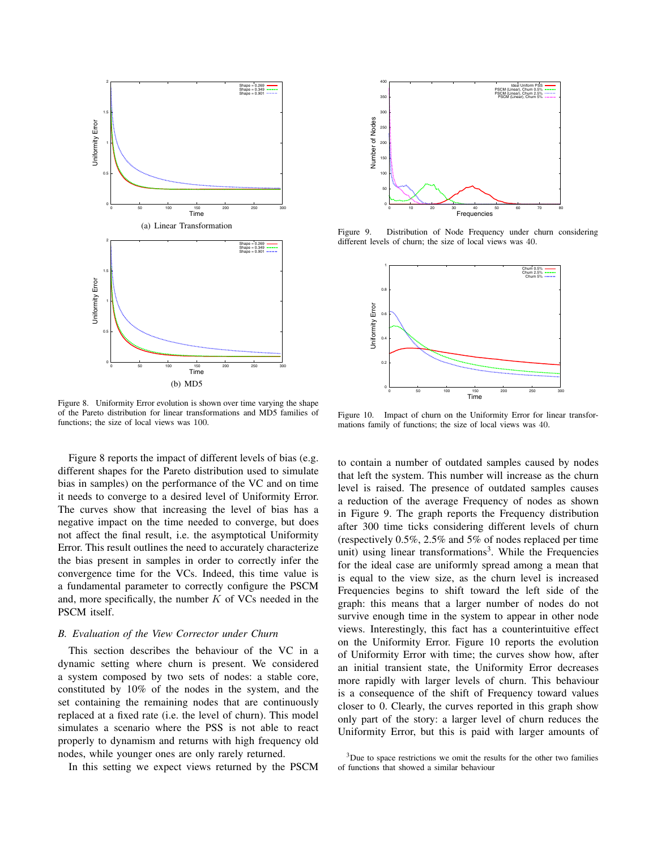

Figure 8. Uniformity Error evolution is shown over time varying the shape of the Pareto distribution for linear transformations and MD5 families of functions; the size of local views was 100.

Figure 8 reports the impact of different levels of bias (e.g. different shapes for the Pareto distribution used to simulate bias in samples) on the performance of the VC and on time it needs to converge to a desired level of Uniformity Error. The curves show that increasing the level of bias has a negative impact on the time needed to converge, but does not affect the final result, i.e. the asymptotical Uniformity Error. This result outlines the need to accurately characterize the bias present in samples in order to correctly infer the convergence time for the VCs. Indeed, this time value is a fundamental parameter to correctly configure the PSCM and, more specifically, the number  $K$  of VCs needed in the PSCM itself.

#### *B. Evaluation of the View Corrector under Churn*

This section describes the behaviour of the VC in a dynamic setting where churn is present. We considered a system composed by two sets of nodes: a stable core, constituted by 10% of the nodes in the system, and the set containing the remaining nodes that are continuously replaced at a fixed rate (i.e. the level of churn). This model simulates a scenario where the PSS is not able to react properly to dynamism and returns with high frequency old nodes, while younger ones are only rarely returned.

In this setting we expect views returned by the PSCM



Figure 9. Distribution of Node Frequency under churn considering different levels of churn; the size of local views was 40.



Figure 10. Impact of churn on the Uniformity Error for linear transformations family of functions; the size of local views was 40.

to contain a number of outdated samples caused by nodes that left the system. This number will increase as the churn level is raised. The presence of outdated samples causes a reduction of the average Frequency of nodes as shown in Figure 9. The graph reports the Frequency distribution after 300 time ticks considering different levels of churn (respectively 0.5%, 2.5% and 5% of nodes replaced per time unit) using linear transformations<sup>3</sup>. While the Frequencies for the ideal case are uniformly spread among a mean that is equal to the view size, as the churn level is increased Frequencies begins to shift toward the left side of the graph: this means that a larger number of nodes do not survive enough time in the system to appear in other node views. Interestingly, this fact has a counterintuitive effect on the Uniformity Error. Figure 10 reports the evolution of Uniformity Error with time; the curves show how, after an initial transient state, the Uniformity Error decreases more rapidly with larger levels of churn. This behaviour is a consequence of the shift of Frequency toward values closer to 0. Clearly, the curves reported in this graph show only part of the story: a larger level of churn reduces the Uniformity Error, but this is paid with larger amounts of

<sup>&</sup>lt;sup>3</sup>Due to space restrictions we omit the results for the other two families of functions that showed a similar behaviour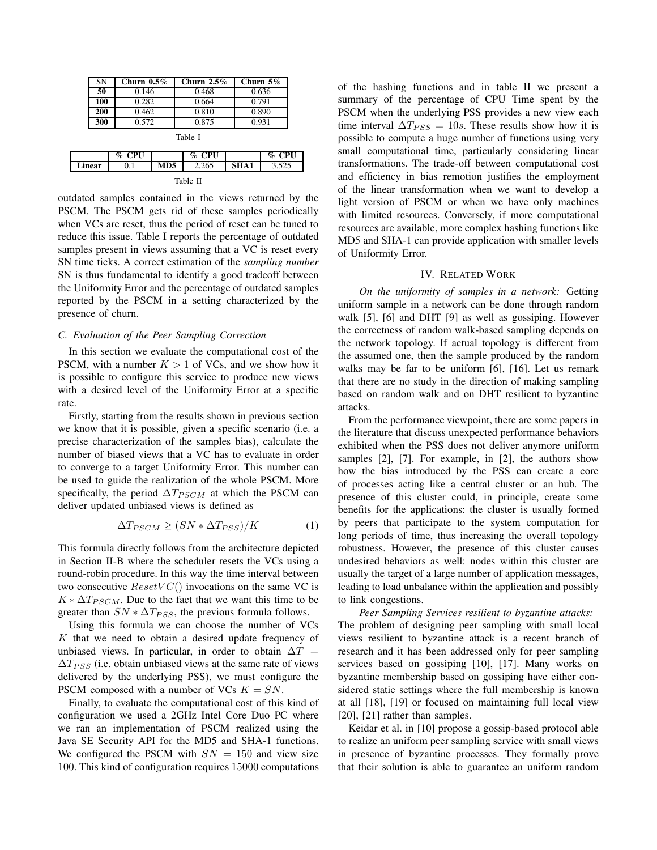|         | <b>SN</b>    | Churn $0.5\%$ |                           | Churn $2.5\%$ |      | Churn $5\%$ |
|---------|--------------|---------------|---------------------------|---------------|------|-------------|
|         | 50<br>0.146  |               |                           | 0.468         |      | 0.636       |
|         | 0.282<br>100 |               |                           | 0.664         |      | 0.791       |
|         | 200<br>0.462 |               |                           | 0.810         |      | 0.890       |
|         | 300          | 0.572         |                           | 0.875         |      | 0.931       |
| Table I |              |               |                           |               |      |             |
|         |              | $\%$ CPU      |                           | $%$ CPU       |      | $\%$ CPU    |
| Linear  |              |               | $\overline{\mathrm{MD5}}$ | 2.265         | SHA1 | 3.525       |

Table II

outdated samples contained in the views returned by the PSCM. The PSCM gets rid of these samples periodically when VCs are reset, thus the period of reset can be tuned to reduce this issue. Table I reports the percentage of outdated samples present in views assuming that a VC is reset every SN time ticks. A correct estimation of the *sampling number* SN is thus fundamental to identify a good tradeoff between the Uniformity Error and the percentage of outdated samples reported by the PSCM in a setting characterized by the presence of churn.

## *C. Evaluation of the Peer Sampling Correction*

In this section we evaluate the computational cost of the PSCM, with a number  $K > 1$  of VCs, and we show how it is possible to configure this service to produce new views with a desired level of the Uniformity Error at a specific rate.

Firstly, starting from the results shown in previous section we know that it is possible, given a specific scenario (i.e. a precise characterization of the samples bias), calculate the number of biased views that a VC has to evaluate in order to converge to a target Uniformity Error. This number can be used to guide the realization of the whole PSCM. More specifically, the period  $\Delta T_{PSCM}$  at which the PSCM can deliver updated unbiased views is defined as

$$
\Delta T_{PSCM} \ge (SN * \Delta T_{PSS})/K \tag{1}
$$

This formula directly follows from the architecture depicted in Section II-B where the scheduler resets the VCs using a round-robin procedure. In this way the time interval between two consecutive  $ResetVC()$  invocations on the same VC is  $K * \Delta T_{PSCM}$ . Due to the fact that we want this time to be greater than  $SN * \Delta T_{PSS}$ , the previous formula follows.

Using this formula we can choose the number of VCs  $K$  that we need to obtain a desired update frequency of unbiased views. In particular, in order to obtain  $\Delta T =$  $\Delta T_{PSS}$  (i.e. obtain unbiased views at the same rate of views delivered by the underlying PSS), we must configure the PSCM composed with a number of VCs  $K = SN$ .

Finally, to evaluate the computational cost of this kind of configuration we used a 2GHz Intel Core Duo PC where we ran an implementation of PSCM realized using the Java SE Security API for the MD5 and SHA-1 functions. We configured the PSCM with  $SN = 150$  and view size 100. This kind of configuration requires 15000 computations of the hashing functions and in table II we present a summary of the percentage of CPU Time spent by the PSCM when the underlying PSS provides a new view each time interval  $\Delta T_{PSS} = 10s$ . These results show how it is possible to compute a huge number of functions using very small computational time, particularly considering linear transformations. The trade-off between computational cost and efficiency in bias remotion justifies the employment of the linear transformation when we want to develop a light version of PSCM or when we have only machines with limited resources. Conversely, if more computational resources are available, more complex hashing functions like MD5 and SHA-1 can provide application with smaller levels of Uniformity Error.

#### IV. RELATED WORK

*On the uniformity of samples in a network:* Getting uniform sample in a network can be done through random walk [5], [6] and DHT [9] as well as gossiping. However the correctness of random walk-based sampling depends on the network topology. If actual topology is different from the assumed one, then the sample produced by the random walks may be far to be uniform [6], [16]. Let us remark that there are no study in the direction of making sampling based on random walk and on DHT resilient to byzantine attacks.

From the performance viewpoint, there are some papers in the literature that discuss unexpected performance behaviors exhibited when the PSS does not deliver anymore uniform samples [2], [7]. For example, in [2], the authors show how the bias introduced by the PSS can create a core of processes acting like a central cluster or an hub. The presence of this cluster could, in principle, create some benefits for the applications: the cluster is usually formed by peers that participate to the system computation for long periods of time, thus increasing the overall topology robustness. However, the presence of this cluster causes undesired behaviors as well: nodes within this cluster are usually the target of a large number of application messages, leading to load unbalance within the application and possibly to link congestions.

*Peer Sampling Services resilient to byzantine attacks:* The problem of designing peer sampling with small local views resilient to byzantine attack is a recent branch of research and it has been addressed only for peer sampling services based on gossiping [10], [17]. Many works on byzantine membership based on gossiping have either considered static settings where the full membership is known at all [18], [19] or focused on maintaining full local view [20], [21] rather than samples.

Keidar et al. in [10] propose a gossip-based protocol able to realize an uniform peer sampling service with small views in presence of byzantine processes. They formally prove that their solution is able to guarantee an uniform random